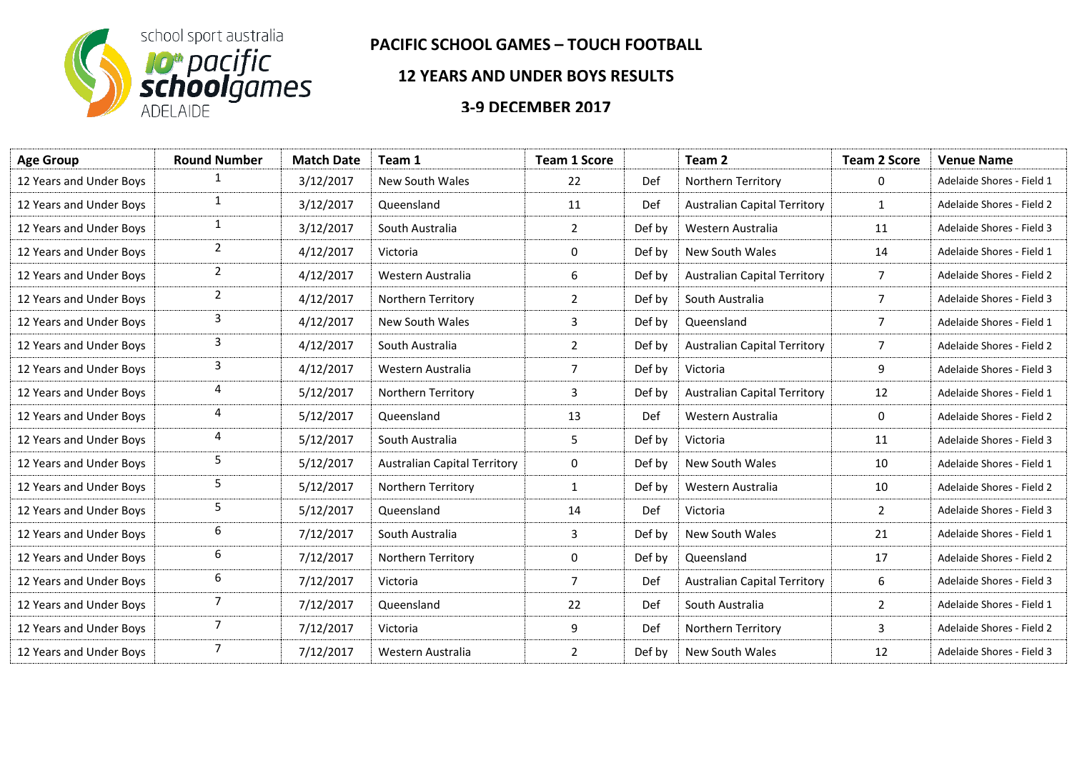

## **PACIFIC SCHOOL GAMES – TOUCH FOOTBALL**

## **12 YEARS AND UNDER BOYS RESULTS**

## **3-9 DECEMBER 2017**

| <b>Round Number</b> | <b>Match Date</b> | Team 1                              | <b>Team 1 Score</b> |        | Team 2                              | <b>Team 2 Score</b> | <b>Venue Name</b>         |
|---------------------|-------------------|-------------------------------------|---------------------|--------|-------------------------------------|---------------------|---------------------------|
| 1                   | 3/12/2017         | New South Wales                     | 22                  | Def    | Northern Territory                  | 0                   | Adelaide Shores - Field 1 |
| $\mathbf{1}$        | 3/12/2017         | Queensland                          | 11                  | Def    | <b>Australian Capital Territory</b> | $\mathbf{1}$        | Adelaide Shores - Field 2 |
| $\mathbf{1}$        | 3/12/2017         | South Australia                     | $\overline{2}$      | Def by | Western Australia                   | 11                  | Adelaide Shores - Field 3 |
| $\overline{2}$      | 4/12/2017         | Victoria                            | 0                   | Def by | New South Wales                     | 14                  | Adelaide Shores - Field 1 |
| $\overline{2}$      | 4/12/2017         | Western Australia                   | 6                   | Def by | <b>Australian Capital Territory</b> | 7                   | Adelaide Shores - Field 2 |
| $\overline{2}$      | 4/12/2017         | Northern Territory                  | $\overline{2}$      | Def by | South Australia                     | 7                   | Adelaide Shores - Field 3 |
| 3                   | 4/12/2017         | New South Wales                     | 3                   | Def by | Queensland                          | $\overline{7}$      | Adelaide Shores - Field 1 |
| 3                   | 4/12/2017         | South Australia                     | $\overline{2}$      | Def by | <b>Australian Capital Territory</b> | $\overline{7}$      | Adelaide Shores - Field 2 |
| 3                   | 4/12/2017         | Western Australia                   | 7                   | Def by | Victoria                            | 9                   | Adelaide Shores - Field 3 |
| 4                   | 5/12/2017         | Northern Territory                  | 3                   | Def by | <b>Australian Capital Territory</b> | 12                  | Adelaide Shores - Field 1 |
| 4                   | 5/12/2017         | Queensland                          | 13                  | Def    | Western Australia                   | $\mathbf 0$         | Adelaide Shores - Field 2 |
| 4                   | 5/12/2017         | South Australia                     | 5                   | Def by | Victoria                            | 11                  | Adelaide Shores - Field 3 |
| 5                   | 5/12/2017         | <b>Australian Capital Territory</b> | 0                   | Def by | New South Wales                     | 10                  | Adelaide Shores - Field 1 |
| 5                   | 5/12/2017         | Northern Territory                  | $\mathbf{1}$        | Def by | Western Australia                   | 10                  | Adelaide Shores - Field 2 |
| 5                   | 5/12/2017         | Queensland                          | 14                  | Def    | Victoria                            | 2                   | Adelaide Shores - Field 3 |
| 6                   | 7/12/2017         | South Australia                     | 3                   | Def by | New South Wales                     | 21                  | Adelaide Shores - Field 1 |
| 6                   | 7/12/2017         | Northern Territory                  | 0                   | Def by | Queensland                          | 17                  | Adelaide Shores - Field 2 |
| 6                   | 7/12/2017         | Victoria                            | $\overline{7}$      | Def    | <b>Australian Capital Territory</b> | 6                   | Adelaide Shores - Field 3 |
| 7                   | 7/12/2017         | Queensland                          | 22                  | Def    | South Australia                     | $\overline{2}$      | Adelaide Shores - Field 1 |
| 7                   | 7/12/2017         | Victoria                            | 9                   | Def    | Northern Territory                  | $\overline{3}$      | Adelaide Shores - Field 2 |
| $\overline{7}$      | 7/12/2017         | Western Australia                   | $\overline{2}$      | Def by | New South Wales                     | 12                  | Adelaide Shores - Field 3 |
|                     |                   |                                     |                     |        |                                     |                     |                           |